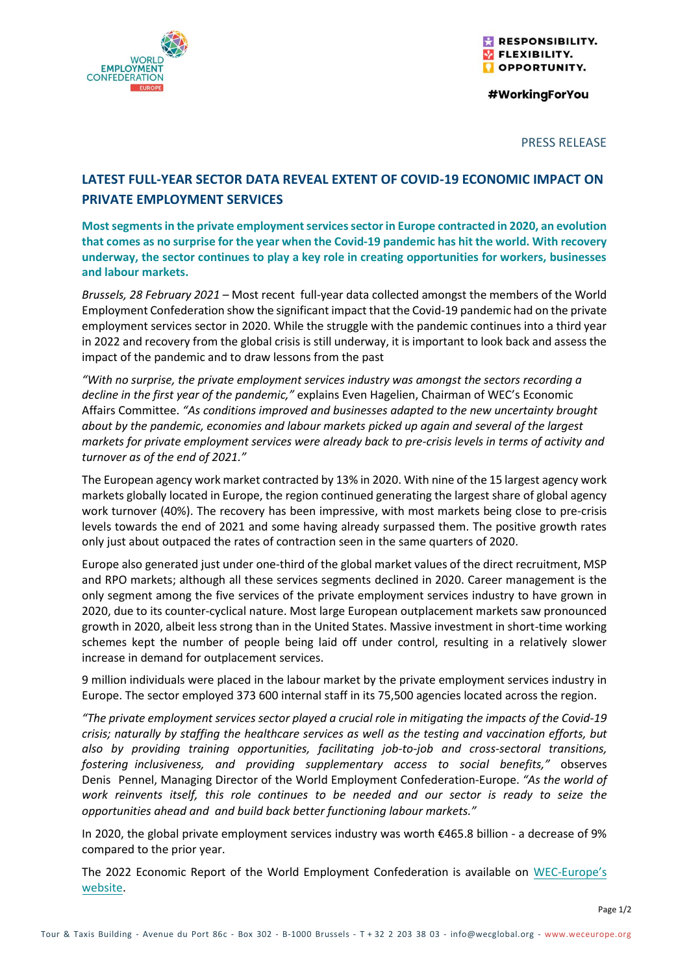

RESPONSIBILITY. **VELEXIBILITY. OPPORTUNITY.** 

#WorkingForYou

## PRESS RELEASE

## **LATEST FULL-YEAR SECTOR DATA REVEAL EXTENT OF COVID-19 ECONOMIC IMPACT ON PRIVATE EMPLOYMENT SERVICES**

**Most segments in the private employment services sector in Europe contracted in 2020, an evolution that comes as no surprise for the year when the Covid-19 pandemic has hit the world. With recovery underway, the sector continues to play a key role in creating opportunities for workers, businesses and labour markets.**

*Brussels, 28 February 2021* – Most recent full-year data collected amongst the members of the World Employment Confederation show the significant impact that the Covid-19 pandemic had on the private employment services sector in 2020. While the struggle with the pandemic continues into a third year in 2022 and recovery from the global crisis is still underway, it is important to look back and assess the impact of the pandemic and to draw lessons from the past

*"With no surprise, the private employment services industry was amongst the sectors recording a decline in the first year of the pandemic,"* explains Even Hagelien, Chairman of WEC's Economic Affairs Committee. *"As conditions improved and businesses adapted to the new uncertainty brought about by the pandemic, economies and labour markets picked up again and several of the largest markets for private employment services were already back to pre-crisis levels in terms of activity and turnover as of the end of 2021."*

The European agency work market contracted by 13% in 2020. With nine of the 15 largest agency work markets globally located in Europe, the region continued generating the largest share of global agency work turnover (40%). The recovery has been impressive, with most markets being close to pre-crisis levels towards the end of 2021 and some having already surpassed them. The positive growth rates only just about outpaced the rates of contraction seen in the same quarters of 2020.

Europe also generated just under one-third of the global market values of the direct recruitment, MSP and RPO markets; although all these services segments declined in 2020. Career management is the only segment among the five services of the private employment services industry to have grown in 2020, due to its counter-cyclical nature. Most large European outplacement markets saw pronounced growth in 2020, albeit less strong than in the United States. Massive investment in short-time working schemes kept the number of people being laid off under control, resulting in a relatively slower increase in demand for outplacement services.

9 million individuals were placed in the labour market by the private employment services industry in Europe. The sector employed 373 600 internal staff in its 75,500 agencies located across the region.

*"The private employment services sector played a crucial role in mitigating the impacts of the Covid-19 crisis; naturally by staffing the healthcare services as well as the testing and vaccination efforts, but also by providing training opportunities, facilitating job-to-job and cross-sectoral transitions, fostering inclusiveness, and providing supplementary access to social benefits,"* observes Denis Pennel, Managing Director of the World Employment Confederation-Europe. *"As the world of work reinvents itself, this role continues to be needed and our sector is ready to seize the opportunities ahead and and build back better functioning labour markets."* 

In 2020, the global private employment services industry was worth €465.8 billion - a decrease of 9% compared to the prior year.

The 2022 Economic Report of the World Employment Confederation is available on WEC-[Europe's](https://weceurope.org/publication-post/economic-report-2022/) [website.](https://weceurope.org/publication-post/economic-report-2022/)